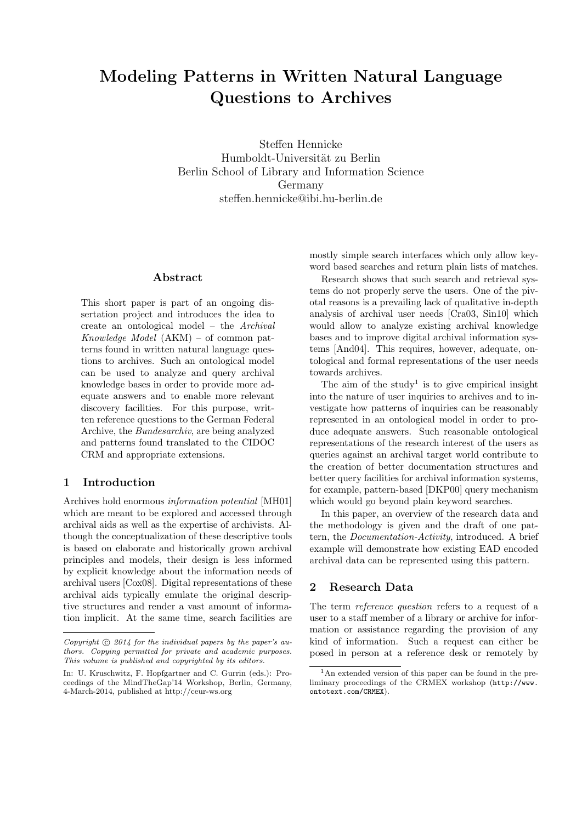# Modeling Patterns in Written Natural Language Questions to Archives

Steffen Hennicke Humboldt-Universität zu Berlin Berlin School of Library and Information Science Germany steffen.hennicke@ibi.hu-berlin.de

## Abstract

This short paper is part of an ongoing dissertation project and introduces the idea to create an ontological model – the Archival Knowledge Model (AKM) – of common patterns found in written natural language questions to archives. Such an ontological model can be used to analyze and query archival knowledge bases in order to provide more adequate answers and to enable more relevant discovery facilities. For this purpose, written reference questions to the German Federal Archive, the Bundesarchiv, are being analyzed and patterns found translated to the CIDOC CRM and appropriate extensions.

## 1 Introduction

Archives hold enormous information potential [MH01] which are meant to be explored and accessed through archival aids as well as the expertise of archivists. Although the conceptualization of these descriptive tools is based on elaborate and historically grown archival principles and models, their design is less informed by explicit knowledge about the information needs of archival users [Cox08]. Digital representations of these archival aids typically emulate the original descriptive structures and render a vast amount of information implicit. At the same time, search facilities are

mostly simple search interfaces which only allow keyword based searches and return plain lists of matches.

Research shows that such search and retrieval systems do not properly serve the users. One of the pivotal reasons is a prevailing lack of qualitative in-depth analysis of archival user needs [Cra03, Sin10] which would allow to analyze existing archival knowledge bases and to improve digital archival information systems [And04]. This requires, however, adequate, ontological and formal representations of the user needs towards archives.

The aim of the study<sup>1</sup> is to give empirical insight into the nature of user inquiries to archives and to investigate how patterns of inquiries can be reasonably represented in an ontological model in order to produce adequate answers. Such reasonable ontological representations of the research interest of the users as queries against an archival target world contribute to the creation of better documentation structures and better query facilities for archival information systems, for example, pattern-based [DKP00] query mechanism which would go beyond plain keyword searches.

In this paper, an overview of the research data and the methodology is given and the draft of one pattern, the Documentation-Activity, introduced. A brief example will demonstrate how existing EAD encoded archival data can be represented using this pattern.

## 2 Research Data

The term reference question refers to a request of a user to a staff member of a library or archive for information or assistance regarding the provision of any kind of information. Such a request can either be posed in person at a reference desk or remotely by

Copyright  $\odot$  2014 for the individual papers by the paper's authors. Copying permitted for private and academic purposes. This volume is published and copyrighted by its editors.

In: U. Kruschwitz, F. Hopfgartner and C. Gurrin (eds.): Proceedings of the MindTheGap'14 Workshop, Berlin, Germany, 4-March-2014, published at http://ceur-ws.org

<sup>1</sup>An extended version of this paper can be found in the preliminary proceedings of the CRMEX workshop (http://www. ontotext.com/CRMEX).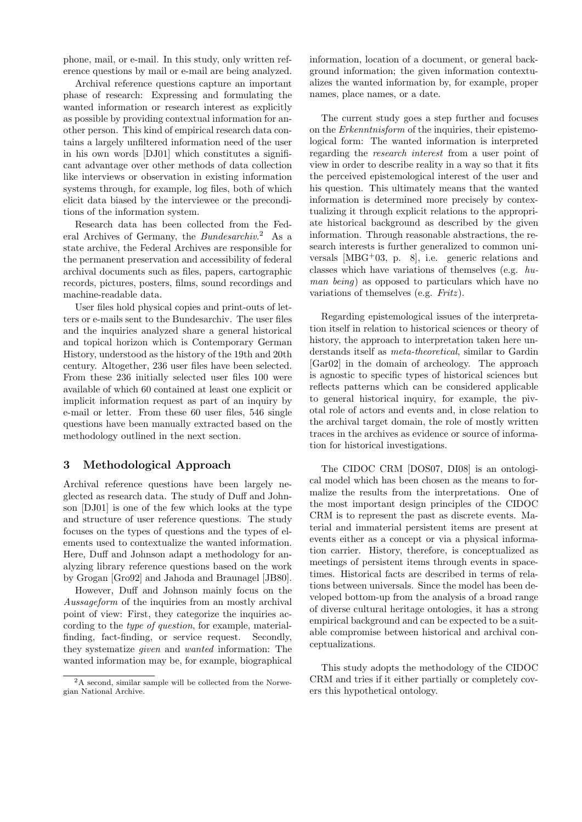phone, mail, or e-mail. In this study, only written reference questions by mail or e-mail are being analyzed.

Archival reference questions capture an important phase of research: Expressing and formulating the wanted information or research interest as explicitly as possible by providing contextual information for another person. This kind of empirical research data contains a largely unfiltered information need of the user in his own words [DJ01] which constitutes a significant advantage over other methods of data collection like interviews or observation in existing information systems through, for example, log files, both of which elicit data biased by the interviewee or the preconditions of the information system.

Research data has been collected from the Federal Archives of Germany, the *Bundesarchiv*.<sup>2</sup> As a state archive, the Federal Archives are responsible for the permanent preservation and accessibility of federal archival documents such as files, papers, cartographic records, pictures, posters, films, sound recordings and machine-readable data.

User files hold physical copies and print-outs of letters or e-mails sent to the Bundesarchiv. The user files and the inquiries analyzed share a general historical and topical horizon which is Contemporary German History, understood as the history of the 19th and 20th century. Altogether, 236 user files have been selected. From these 236 initially selected user files 100 were available of which 60 contained at least one explicit or implicit information request as part of an inquiry by e-mail or letter. From these 60 user files, 546 single questions have been manually extracted based on the methodology outlined in the next section.

## 3 Methodological Approach

Archival reference questions have been largely neglected as research data. The study of Duff and Johnson [DJ01] is one of the few which looks at the type and structure of user reference questions. The study focuses on the types of questions and the types of elements used to contextualize the wanted information. Here, Duff and Johnson adapt a methodology for analyzing library reference questions based on the work by Grogan [Gro92] and Jahoda and Braunagel [JB80].

However, Duff and Johnson mainly focus on the Aussageform of the inquiries from an mostly archival point of view: First, they categorize the inquiries according to the type of question, for example, materialfinding, fact-finding, or service request. Secondly, they systematize given and wanted information: The wanted information may be, for example, biographical

information, location of a document, or general background information; the given information contextualizes the wanted information by, for example, proper names, place names, or a date.

The current study goes a step further and focuses on the Erkenntnisform of the inquiries, their epistemological form: The wanted information is interpreted regarding the research interest from a user point of view in order to describe reality in a way so that it fits the perceived epistemological interest of the user and his question. This ultimately means that the wanted information is determined more precisely by contextualizing it through explicit relations to the appropriate historical background as described by the given information. Through reasonable abstractions, the research interests is further generalized to common universals  $[MBG^+03, p. 8]$ , i.e. generic relations and classes which have variations of themselves (e.g. human being) as opposed to particulars which have no variations of themselves (e.g.  $Fritz$ ).

Regarding epistemological issues of the interpretation itself in relation to historical sciences or theory of history, the approach to interpretation taken here understands itself as meta-theoretical, similar to Gardin [Gar02] in the domain of archeology. The approach is agnostic to specific types of historical sciences but reflects patterns which can be considered applicable to general historical inquiry, for example, the pivotal role of actors and events and, in close relation to the archival target domain, the role of mostly written traces in the archives as evidence or source of information for historical investigations.

The CIDOC CRM [DOS07, DI08] is an ontological model which has been chosen as the means to formalize the results from the interpretations. One of the most important design principles of the CIDOC CRM is to represent the past as discrete events. Material and immaterial persistent items are present at events either as a concept or via a physical information carrier. History, therefore, is conceptualized as meetings of persistent items through events in spacetimes. Historical facts are described in terms of relations between universals. Since the model has been developed bottom-up from the analysis of a broad range of diverse cultural heritage ontologies, it has a strong empirical background and can be expected to be a suitable compromise between historical and archival conceptualizations.

This study adopts the methodology of the CIDOC CRM and tries if it either partially or completely covers this hypothetical ontology.

<sup>&</sup>lt;sup>2</sup>A second, similar sample will be collected from the Norwegian National Archive.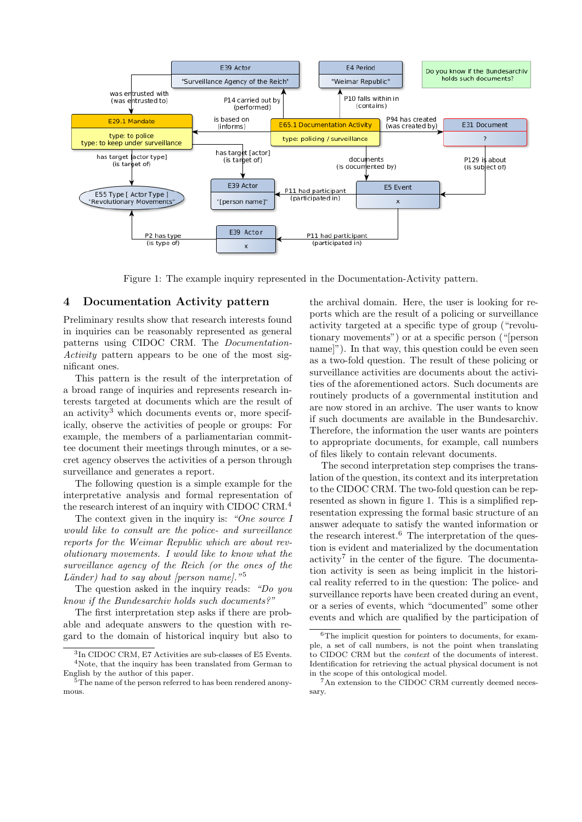

Figure 1: The example inquiry represented in the Documentation-Activity pattern.

#### 4 Documentation Activity pattern

Preliminary results show that research interests found in inquiries can be reasonably represented as general patterns using CIDOC CRM. The Documentation-Activity pattern appears to be one of the most significant ones.

This pattern is the result of the interpretation of a broad range of inquiries and represents research interests targeted at documents which are the result of an activity<sup>3</sup> which documents events or, more specifically, observe the activities of people or groups: For example, the members of a parliamentarian committee document their meetings through minutes, or a secret agency observes the activities of a person through surveillance and generates a report.

The following question is a simple example for the interpretative analysis and formal representation of the research interest of an inquiry with CIDOC CRM.<sup>4</sup>

The context given in the inquiry is: "One source I would like to consult are the police- and surveillance reports for the Weimar Republic which are about revolutionary movements. I would like to know what the surveillance agency of the Reich (or the ones of the Länder) had to say about [person name]."<sup>5</sup>

The question asked in the inquiry reads: "Do you know if the Bundesarchiv holds such documents?"

The first interpretation step asks if there are probable and adequate answers to the question with regard to the domain of historical inquiry but also to the archival domain. Here, the user is looking for reports which are the result of a policing or surveillance activity targeted at a specific type of group ("revolutionary movements") or at a specific person ("[person name]"). In that way, this question could be even seen as a two-fold question. The result of these policing or surveillance activities are documents about the activities of the aforementioned actors. Such documents are routinely products of a governmental institution and are now stored in an archive. The user wants to know if such documents are available in the Bundesarchiv. Therefore, the information the user wants are pointers to appropriate documents, for example, call numbers of files likely to contain relevant documents.

The second interpretation step comprises the translation of the question, its context and its interpretation to the CIDOC CRM. The two-fold question can be represented as shown in figure 1. This is a simplified representation expressing the formal basic structure of an answer adequate to satisfy the wanted information or the research interest. $6$  The interpretation of the question is evident and materialized by the documentation  $\arcsin y^7$  in the center of the figure. The documentation activity is seen as being implicit in the historical reality referred to in the question: The police- and surveillance reports have been created during an event, or a series of events, which "documented" some other events and which are qualified by the participation of

<sup>3</sup> In CIDOC CRM, E7 Activities are sub-classes of E5 Events. <sup>4</sup>Note, that the inquiry has been translated from German to English by the author of this paper.

<sup>&</sup>lt;sup>5</sup>The name of the person referred to has been rendered anonymous.

<sup>6</sup>The implicit question for pointers to documents, for example, a set of call numbers, is not the point when translating to CIDOC CRM but the context of the documents of interest. Identification for retrieving the actual physical document is not in the scope of this ontological model.

<sup>7</sup>An extension to the CIDOC CRM currently deemed necessary.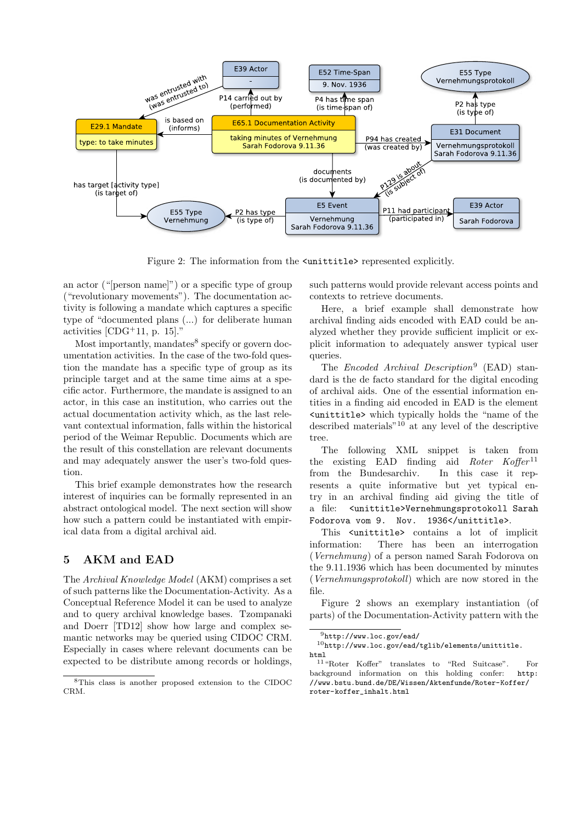

Figure 2: The information from the  $\text{cunititle}$  represented explicitly.

an actor ("[person name]") or a specific type of group ("revolutionary movements"). The documentation activity is following a mandate which captures a specific type of "documented plans (...) for deliberate human activities  $[CDG+11, p. 15]$ ."

Most importantly, mandates<sup>8</sup> specify or govern documentation activities. In the case of the two-fold question the mandate has a specific type of group as its principle target and at the same time aims at a specific actor. Furthermore, the mandate is assigned to an actor, in this case an institution, who carries out the actual documentation activity which, as the last relevant contextual information, falls within the historical period of the Weimar Republic. Documents which are the result of this constellation are relevant documents and may adequately answer the user's two-fold question.

This brief example demonstrates how the research interest of inquiries can be formally represented in an abstract ontological model. The next section will show how such a pattern could be instantiated with empirical data from a digital archival aid.

## 5 AKM and EAD

The Archival Knowledge Model (AKM) comprises a set of such patterns like the Documentation-Activity. As a Conceptual Reference Model it can be used to analyze and to query archival knowledge bases. Tzompanaki and Doerr [TD12] show how large and complex semantic networks may be queried using CIDOC CRM. Especially in cases where relevant documents can be expected to be distribute among records or holdings,

such patterns would provide relevant access points and contexts to retrieve documents.

Here, a brief example shall demonstrate how archival finding aids encoded with EAD could be analyzed whether they provide sufficient implicit or explicit information to adequately answer typical user queries.

The *Encoded Archival Description*<sup>9</sup> (EAD) standard is the de facto standard for the digital encoding of archival aids. One of the essential information entities in a finding aid encoded in EAD is the element <unittitle> which typically holds the "name of the described materials"<sup>10</sup> at any level of the descriptive tree.

The following XML snippet is taken from the existing EAD finding aid Roter  $Koffer<sup>11</sup>$ from the Bundesarchiv. In this case it represents a quite informative but yet typical entry in an archival finding aid giving the title of a file: <unittitle>Vernehmungsprotokoll Sarah Fodorova vom 9. Nov. 1936</unittitle>.

This <unittitle> contains a lot of implicit information: There has been an interrogation (Vernehmung) of a person named Sarah Fodorova on the 9.11.1936 which has been documented by minutes (Vernehmungsprotokoll) which are now stored in the file.

Figure 2 shows an exemplary instantiation (of parts) of the Documentation-Activity pattern with the

<sup>8</sup>This class is another proposed extension to the CIDOC CRM.

<sup>9</sup>http://www.loc.gov/ead/

 $10$ http://www.loc.gov/ead/tglib/elements/unittitle. html

<sup>11</sup>"Roter Koffer" translates to "Red Suitcase". For background information on this holding confer: http: //www.bstu.bund.de/DE/Wissen/Aktenfunde/Roter-Koffer/ roter-koffer\_inhalt.html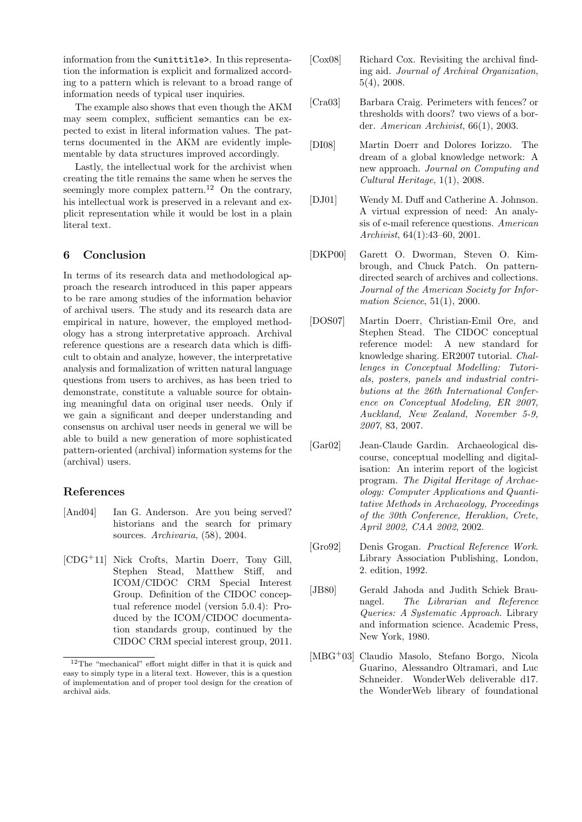information from the <unittitle>. In this representation the information is explicit and formalized according to a pattern which is relevant to a broad range of information needs of typical user inquiries.

The example also shows that even though the AKM may seem complex, sufficient semantics can be expected to exist in literal information values. The patterns documented in the AKM are evidently implementable by data structures improved accordingly.

Lastly, the intellectual work for the archivist when creating the title remains the same when he serves the seemingly more complex pattern.<sup>12</sup> On the contrary, his intellectual work is preserved in a relevant and explicit representation while it would be lost in a plain literal text.

## 6 Conclusion

In terms of its research data and methodological approach the research introduced in this paper appears to be rare among studies of the information behavior of archival users. The study and its research data are empirical in nature, however, the employed methodology has a strong interpretative approach. Archival reference questions are a research data which is difficult to obtain and analyze, however, the interpretative analysis and formalization of written natural language questions from users to archives, as has been tried to demonstrate, constitute a valuable source for obtaining meaningful data on original user needs. Only if we gain a significant and deeper understanding and consensus on archival user needs in general we will be able to build a new generation of more sophisticated pattern-oriented (archival) information systems for the (archival) users.

## References

- [And04] Ian G. Anderson. Are you being served? historians and the search for primary sources. Archivaria, (58), 2004.
- [CDG+11] Nick Crofts, Martin Doerr, Tony Gill, Stephen Stead, Matthew Stiff, and ICOM/CIDOC CRM Special Interest Group. Definition of the CIDOC conceptual reference model (version 5.0.4): Produced by the ICOM/CIDOC documentation standards group, continued by the CIDOC CRM special interest group, 2011.
- [Cox08] Richard Cox. Revisiting the archival finding aid. Journal of Archival Organization, 5(4), 2008.
- [Cra03] Barbara Craig. Perimeters with fences? or thresholds with doors? two views of a border. American Archivist, 66(1), 2003.
- [DI08] Martin Doerr and Dolores Iorizzo. The dream of a global knowledge network: A new approach. Journal on Computing and Cultural Heritage, 1(1), 2008.
- [DJ01] Wendy M. Duff and Catherine A. Johnson. A virtual expression of need: An analysis of e-mail reference questions. American Archivist, 64(1):43–60, 2001.
- [DKP00] Garett O. Dworman, Steven O. Kimbrough, and Chuck Patch. On patterndirected search of archives and collections. Journal of the American Society for Information Science, 51(1), 2000.
- [DOS07] Martin Doerr, Christian-Emil Ore, and Stephen Stead. The CIDOC conceptual reference model: A new standard for knowledge sharing. ER2007 tutorial. Challenges in Conceptual Modelling: Tutorials, posters, panels and industrial contributions at the 26th International Conference on Conceptual Modeling, ER 2007, Auckland, New Zealand, November 5-9, 2007, 83, 2007.
- [Gar02] Jean-Claude Gardin. Archaeological discourse, conceptual modelling and digitalisation: An interim report of the logicist program. The Digital Heritage of Archaeology: Computer Applications and Quantitative Methods in Archaeology, Proceedings of the 30th Conference, Heraklion, Crete, April 2002, CAA 2002, 2002.
- [Gro92] Denis Grogan. Practical Reference Work. Library Association Publishing, London, 2. edition, 1992.
- [JB80] Gerald Jahoda and Judith Schiek Braunagel. The Librarian and Reference Queries: A Systematic Approach. Library and information science. Academic Press, New York, 1980.
- [MBG<sup>+</sup>03] Claudio Masolo, Stefano Borgo, Nicola Guarino, Alessandro Oltramari, and Luc Schneider. WonderWeb deliverable d17. the WonderWeb library of foundational

 $^{12}\mathrm{The}$  "mechanical" effort might differ in that it is quick and easy to simply type in a literal text. However, this is a question of implementation and of proper tool design for the creation of archival aids.